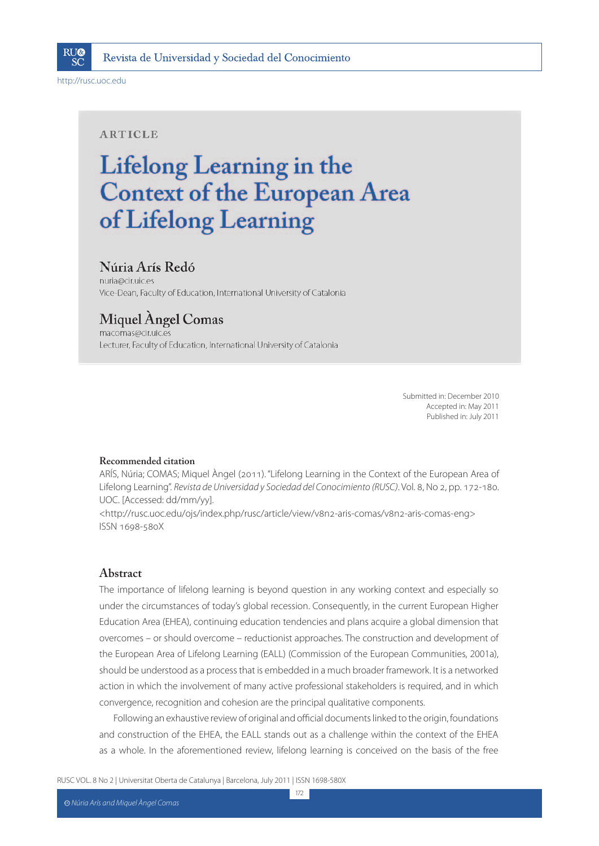

http://rusc.uoc.edu

#### **ARTICLE**

# Lifelong Learning in the **Context of the European Area** of Lifelong Learning

### Núria Arís Redó

nuria@cir.uic.es Vice-Dean, Faculty of Education, International University of Catalonia

#### Miquel Angel Comas macomas@cir.uic.es

Lecturer, Faculty of Education, International University of Catalonia

Submitted in: December 2010 Accepted in: May 2011 Published in: July 2011

#### **Recommended citation**

ARÍS, Núria; COMAS; Miquel Àngel (2011). "Lifelong Learning in the Context of the European Area of Lifelong Learning". Revista de Universidad y Sociedad del Conocimiento (RUSC). Vol. 8, No 2, pp. 172-180. UOC. [Accessed: dd/mm/yy].

<http://rusc.uoc.edu/ojs/index.php/rusc/article/view/v8n2-aris-comas/v8n2-aris-comas-eng> ISSN 1698-580X

#### **Abstract**

The importance of lifelong learning is beyond question in any working context and especially so under the circumstances of today's global recession. Consequently, in the current European Higher Education Area (EHEA), continuing education tendencies and plans acquire a global dimension that overcomes – or should overcome – reductionist approaches. The construction and development of the European Area of Lifelong Learning (EALL) (Commission of the European Communities, 2001a), should be understood as a process that is embedded in a much broader framework. It is a networked action in which the involvement of many active professional stakeholders is required, and in which convergence, recognition and cohesion are the principal qualitative components.

Following an exhaustive review of original and official documents linked to the origin, foundations and construction of the EHEA, the EALL stands out as a challenge within the context of the EHEA as a whole. In the aforementioned review, lifelong learning is conceived on the basis of the free

RUSC VOL. 8 No 2 | Universitat Oberta de Catalunya | Barcelona, July 2011 | ISSN 1698-580X

 $172$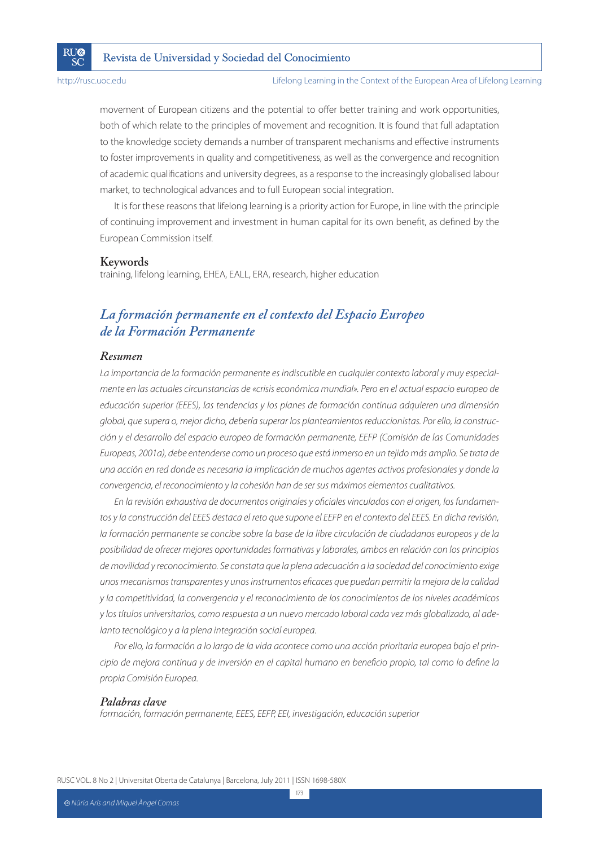**RI**I®

SČ

movement of European citizens and the potential to offer better training and work opportunities, both of which relate to the principles of movement and recognition. It is found that full adaptation to the knowledge society demands a number of transparent mechanisms and effective instruments to foster improvements in quality and competitiveness, as well as the convergence and recognition of academic qualifications and university degrees, as a response to the increasingly globalised labour market, to technological advances and to full European social integration.

It is for these reasons that lifelong learning is a priority action for Europe, in line with the principle of continuing improvement and investment in human capital for its own benefit, as defined by the European Commission itself.

#### **Keywords**

training, lifelong learning, EHEA, EALL, ERA, research, higher education

### *La formación permanente en el contexto del Espacio Europeo de la Formación Permanente*

#### *Resumen*

La importancia de la formación permanente es indiscutible en cualquier contexto laboral y muy especialmente en las actuales circunstancias de «crisis económica mundial». Pero en el actual espacio europeo de educación superior (EEES), las tendencias y los planes de formación continua adquieren una dimensión global, que supera o, mejor dicho, debería superar los planteamientos reduccionistas. Por ello, la construcción y el desarrollo del espacio europeo de formación permanente, EEFP (Comisión de las Comunidades Europeas, 2001a), debe entenderse como un proceso que está inmerso en un tejido más amplio. Se trata de una acción en red donde es necesaria la implicación de muchos agentes activos profesionales y donde la convergencia, el reconocimiento y la cohesión han de ser sus máximos elementos cualitativos.

En la revisión exhaustiva de documentos originales y oficiales vinculados con el origen, los fundamentos y la construcción del EEES destaca el reto que supone el EEFP en el contexto del EEES. En dicha revisión, la formación permanente se concibe sobre la base de la libre circulación de ciudadanos europeos y de la posibilidad de ofrecer mejores oportunidades formativas y laborales, ambos en relación con los principios de movilidad y reconocimiento. Se constata que la plena adecuación a la sociedad del conocimiento exige unos mecanismos transparentes y unos instrumentos eficaces que puedan permitir la mejora de la calidad y la competitividad, la convergencia y el reconocimiento de los conocimientos de los niveles académicos y los títulos universitarios, como respuesta a un nuevo mercado laboral cada vez más globalizado, al adelanto tecnológico y a la plena integración social europea.

Por ello, la formación a lo largo de la vida acontece como una acción prioritaria europea bajo el principio de mejora continua y de inversión en el capital humano en beneficio propio, tal como lo define la propia Comisión Europea.

#### *Palabras clave*

formación, formación permanente, EEES, EEFP, EEI, investigación, educación superior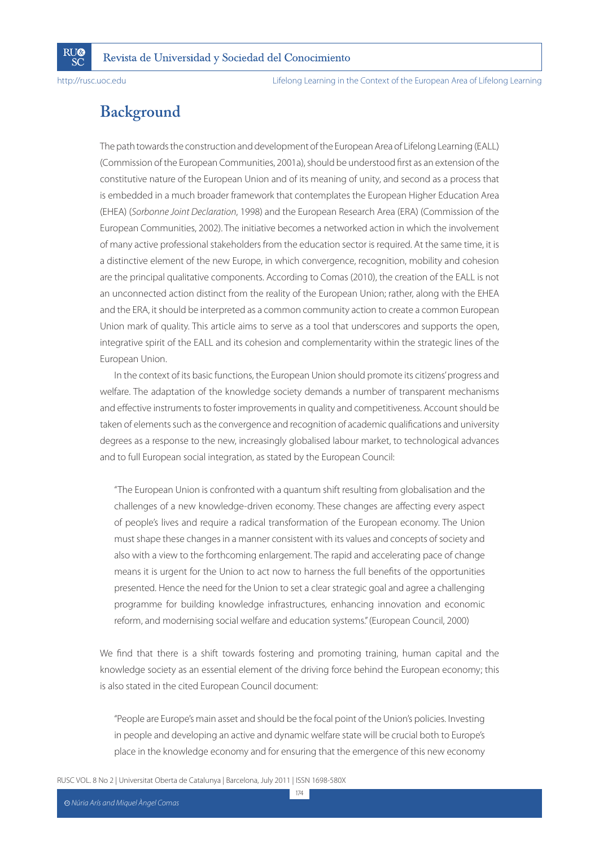**RU®** 

SČ

http://rusc.uoc.edu Lifelong Learning in the Context of the European Area of Lifelong Learning

## **Background**

The path towards the construction and development of the European Area of Lifelong Learning (EALL) (Commission of the European Communities, 2001a), should be understood first as an extension of the constitutive nature of the European Union and of its meaning of unity, and second as a process that is embedded in a much broader framework that contemplates the European Higher Education Area (EHEA) (Sorbonne Joint Declaration, 1998) and the European Research Area (ERA) (Commission of the European Communities, 2002). The initiative becomes a networked action in which the involvement of many active professional stakeholders from the education sector is required. At the same time, it is a distinctive element of the new Europe, in which convergence, recognition, mobility and cohesion are the principal qualitative components. According to Comas (2010), the creation of the EALL is not an unconnected action distinct from the reality of the European Union; rather, along with the EHEA and the ERA, it should be interpreted as a common community action to create a common European Union mark of quality. This article aims to serve as a tool that underscores and supports the open, integrative spirit of the EALL and its cohesion and complementarity within the strategic lines of the European Union.

In the context of its basic functions, the European Union should promote its citizens' progress and welfare. The adaptation of the knowledge society demands a number of transparent mechanisms and effective instruments to foster improvements in quality and competitiveness. Account should be taken of elements such as the convergence and recognition of academic qualifications and university degrees as a response to the new, increasingly globalised labour market, to technological advances and to full European social integration, as stated by the European Council:

"The European Union is confronted with a quantum shift resulting from globalisation and the challenges of a new knowledge-driven economy. These changes are affecting every aspect of people's lives and require a radical transformation of the European economy. The Union must shape these changes in a manner consistent with its values and concepts of society and also with a view to the forthcoming enlargement. The rapid and accelerating pace of change means it is urgent for the Union to act now to harness the full benefits of the opportunities presented. Hence the need for the Union to set a clear strategic goal and agree a challenging programme for building knowledge infrastructures, enhancing innovation and economic reform, and modernising social welfare and education systems." (European Council, 2000)

We find that there is a shift towards fostering and promoting training, human capital and the knowledge society as an essential element of the driving force behind the European economy; this is also stated in the cited European Council document:

"People are Europe's main asset and should be the focal point of the Union's policies. Investing in people and developing an active and dynamic welfare state will be crucial both to Europe's place in the knowledge economy and for ensuring that the emergence of this new economy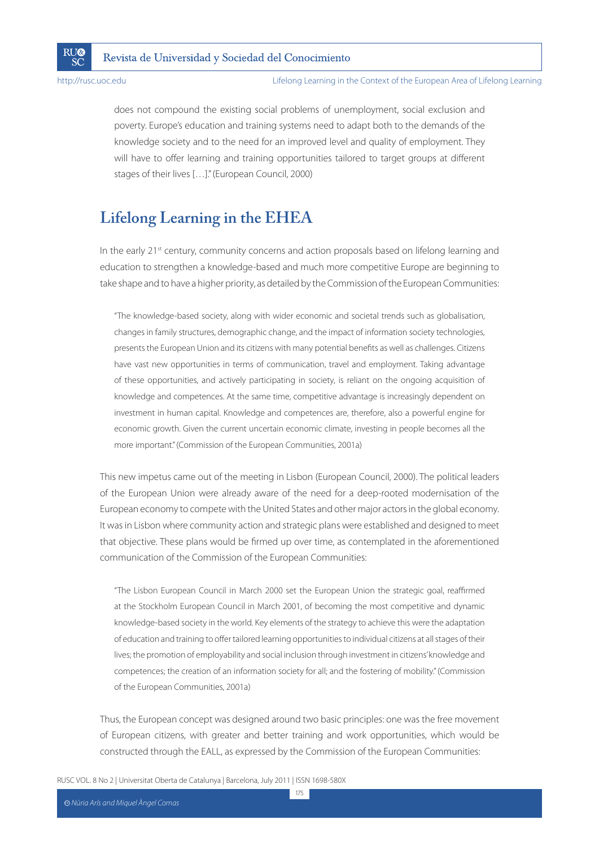http://rusc.uoc.edu Lifelong Learning in the Context of the European Area of Lifelong Learning

does not compound the existing social problems of unemployment, social exclusion and poverty. Europe's education and training systems need to adapt both to the demands of the knowledge society and to the need for an improved level and quality of employment. They will have to offer learning and training opportunities tailored to target groups at different stages of their lives […]." (European Council, 2000)

# **Lifelong Learning in the EHEA**

In the early 21<sup>st</sup> century, community concerns and action proposals based on lifelong learning and education to strengthen a knowledge-based and much more competitive Europe are beginning to take shape and to have a higher priority, as detailed by the Commission of the European Communities:

"The knowledge-based society, along with wider economic and societal trends such as globalisation, changes in family structures, demographic change, and the impact of information society technologies, presents the European Union and its citizens with many potential benefits as well as challenges. Citizens have vast new opportunities in terms of communication, travel and employment. Taking advantage of these opportunities, and actively participating in society, is reliant on the ongoing acquisition of knowledge and competences. At the same time, competitive advantage is increasingly dependent on investment in human capital. Knowledge and competences are, therefore, also a powerful engine for economic growth. Given the current uncertain economic climate, investing in people becomes all the more important." (Commission of the European Communities, 2001a)

This new impetus came out of the meeting in Lisbon (European Council, 2000). The political leaders of the European Union were already aware of the need for a deep-rooted modernisation of the European economy to compete with the United States and other major actors in the global economy. It was in Lisbon where community action and strategic plans were established and designed to meet that objective. These plans would be firmed up over time, as contemplated in the aforementioned communication of the Commission of the European Communities:

"The Lisbon European Council in March 2000 set the European Union the strategic goal, reaffirmed at the Stockholm European Council in March 2001, of becoming the most competitive and dynamic knowledge-based society in the world. Key elements of the strategy to achieve this were the adaptation of education and training to offer tailored learning opportunities to individual citizens at all stages of their lives; the promotion of employability and social inclusion through investment in citizens' knowledge and competences; the creation of an information society for all; and the fostering of mobility." (Commission of the European Communities, 2001a)

Thus, the European concept was designed around two basic principles: one was the free movement of European citizens, with greater and better training and work opportunities, which would be constructed through the EALL, as expressed by the Commission of the European Communities:

175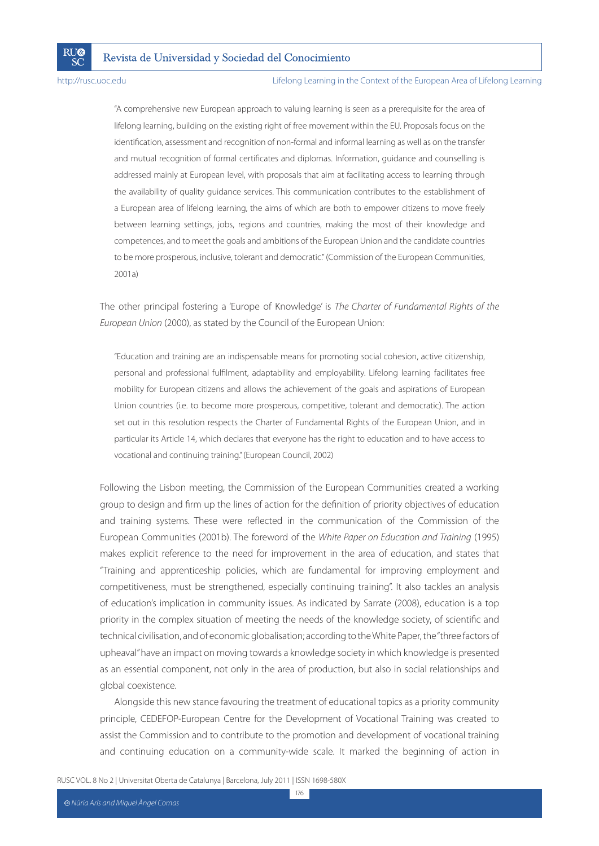**RU®** 

SČ

http://rusc.uoc.edu Lifelong Learning in the Context of the European Area of Lifelong Learning

"A comprehensive new European approach to valuing learning is seen as a prerequisite for the area of lifelong learning, building on the existing right of free movement within the EU. Proposals focus on the identification, assessment and recognition of non-formal and informal learning as well as on the transfer and mutual recognition of formal certificates and diplomas. Information, guidance and counselling is addressed mainly at European level, with proposals that aim at facilitating access to learning through the availability of quality guidance services. This communication contributes to the establishment of a European area of lifelong learning, the aims of which are both to empower citizens to move freely between learning settings, jobs, regions and countries, making the most of their knowledge and competences, and to meet the goals and ambitions of the European Union and the candidate countries to be more prosperous, inclusive, tolerant and democratic." (Commission of the European Communities, 2001a)

The other principal fostering a 'Europe of Knowledge' is The Charter of Fundamental Rights of the European Union (2000), as stated by the Council of the European Union:

"Education and training are an indispensable means for promoting social cohesion, active citizenship, personal and professional fulfilment, adaptability and employability. Lifelong learning facilitates free mobility for European citizens and allows the achievement of the goals and aspirations of European Union countries (i.e. to become more prosperous, competitive, tolerant and democratic). The action set out in this resolution respects the Charter of Fundamental Rights of the European Union, and in particular its Article 14, which declares that everyone has the right to education and to have access to vocational and continuing training." (European Council, 2002)

Following the Lisbon meeting, the Commission of the European Communities created a working group to design and firm up the lines of action for the definition of priority objectives of education and training systems. These were reflected in the communication of the Commission of the European Communities (2001b). The foreword of the White Paper on Education and Training (1995) makes explicit reference to the need for improvement in the area of education, and states that "Training and apprenticeship policies, which are fundamental for improving employment and competitiveness, must be strengthened, especially continuing training". It also tackles an analysis of education's implication in community issues. As indicated by Sarrate (2008), education is a top priority in the complex situation of meeting the needs of the knowledge society, of scientific and technical civilisation, and of economic globalisation; according to the White Paper, the "three factors of upheaval" have an impact on moving towards a knowledge society in which knowledge is presented as an essential component, not only in the area of production, but also in social relationships and global coexistence.

Alongside this new stance favouring the treatment of educational topics as a priority community principle, CEDEFOP-European Centre for the Development of Vocational Training was created to assist the Commission and to contribute to the promotion and development of vocational training and continuing education on a community-wide scale. It marked the beginning of action in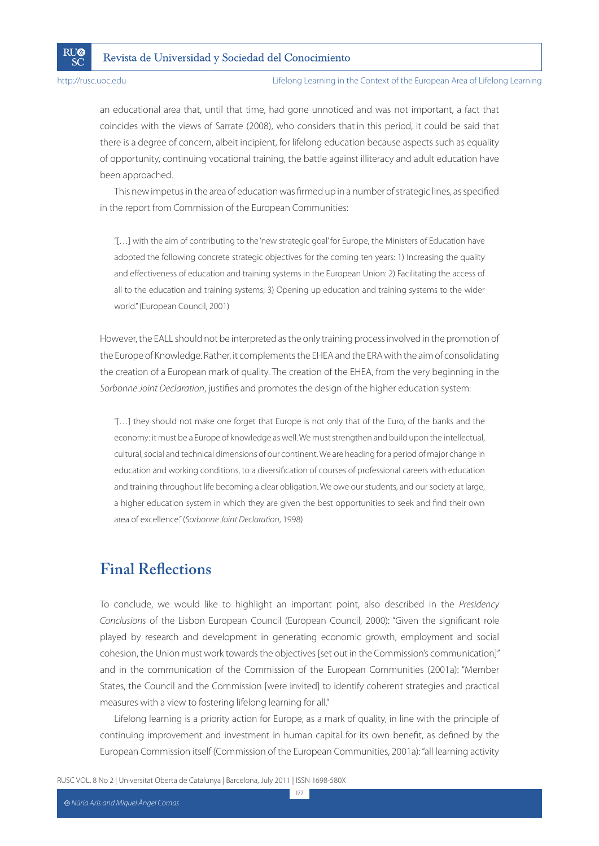**RI**I®

SČ

http://rusc.uoc.edu Lifelong Learning in the Context of the European Area of Lifelong Learning

an educational area that, until that time, had gone unnoticed and was not important, a fact that coincides with the views of Sarrate (2008), who considers that in this period, it could be said that there is a degree of concern, albeit incipient, for lifelong education because aspects such as equality of opportunity, continuing vocational training, the battle against illiteracy and adult education have been approached.

This new impetus in the area of education was firmed up in a number of strategic lines, as specified in the report from Commission of the European Communities:

"[…] with the aim of contributing to the 'new strategic goal' for Europe, the Ministers of Education have adopted the following concrete strategic objectives for the coming ten years: 1) Increasing the quality and effectiveness of education and training systems in the European Union: 2) Facilitating the access of all to the education and training systems; 3) Opening up education and training systems to the wider world." (European Council, 2001)

However, the EALL should not be interpreted as the only training process involved in the promotion of the Europe of Knowledge. Rather, it complements the EHEA and the ERA with the aim of consolidating the creation of a European mark of quality. The creation of the EHEA, from the very beginning in the Sorbonne Joint Declaration, justifies and promotes the design of the higher education system:

"[…] they should not make one forget that Europe is not only that of the Euro, of the banks and the economy: it must be a Europe of knowledge as well. We must strengthen and build upon the intellectual, cultural, social and technical dimensions of our continent. We are heading for a period of major change in education and working conditions, to a diversification of courses of professional careers with education and training throughout life becoming a clear obligation. We owe our students, and our society at large, a higher education system in which they are given the best opportunities to seek and find their own area of excellence." (Sorbonne Joint Declaration, 1998)

### **Final Reflections**

To conclude, we would like to highlight an important point, also described in the Presidency Conclusions of the Lisbon European Council (European Council, 2000): "Given the significant role played by research and development in generating economic growth, employment and social cohesion, the Union must work towards the objectives [set out in the Commission's communication]" and in the communication of the Commission of the European Communities (2001a): "Member States, the Council and the Commission [were invited] to identify coherent strategies and practical measures with a view to fostering lifelong learning for all."

Lifelong learning is a priority action for Europe, as a mark of quality, in line with the principle of continuing improvement and investment in human capital for its own benefit, as defined by the European Commission itself (Commission of the European Communities, 2001a): "all learning activity

 $177$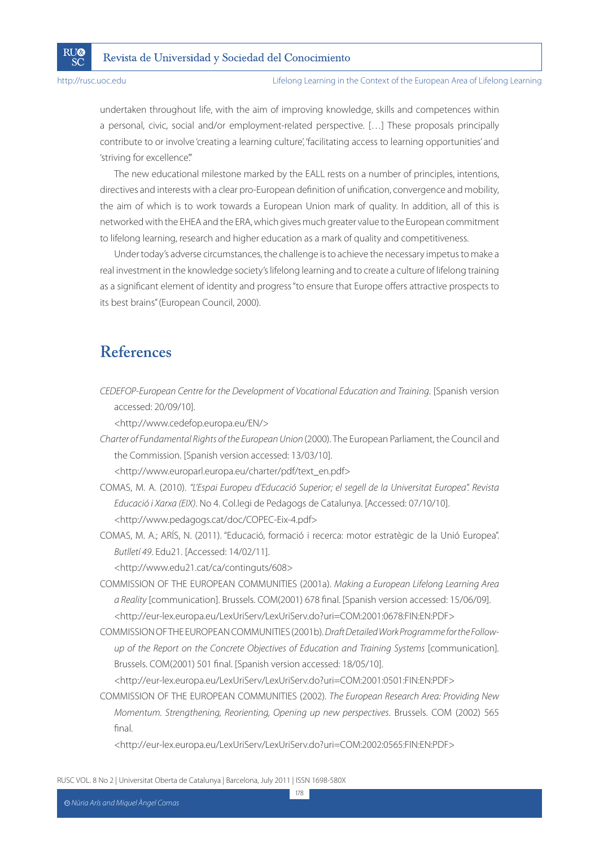**RU®** 

SČ

http://rusc.uoc.edu Lifelong Learning in the Context of the European Area of Lifelong Learning

undertaken throughout life, with the aim of improving knowledge, skills and competences within a personal, civic, social and/or employment-related perspective. […] These proposals principally contribute to or involve 'creating a learning culture', 'facilitating access to learning opportunities' and 'striving for excellence."

The new educational milestone marked by the EALL rests on a number of principles, intentions, directives and interests with a clear pro-European definition of unification, convergence and mobility, the aim of which is to work towards a European Union mark of quality. In addition, all of this is networked with the EHEA and the ERA, which gives much greater value to the European commitment to lifelong learning, research and higher education as a mark of quality and competitiveness.

Under today's adverse circumstances, the challenge is to achieve the necessary impetus to make a real investment in the knowledge society's lifelong learning and to create a culture of lifelong training as a significant element of identity and progress "to ensure that Europe offers attractive prospects to its best brains" (European Council, 2000).

### **References**

CEDEFOP-European Centre for the Development of Vocational Education and Training. [Spanish version accessed: 20/09/10].

<http://www.cedefop.europa.eu/EN/>

Charter of Fundamental Rights of the European Union (2000). The European Parliament, the Council and the Commission. [Spanish version accessed: 13/03/10].

<http://www.europarl.europa.eu/charter/pdf/text\_en.pdf>

COMAS, M. A. (2010). "L'Espai Europeu d'Educació Superior; el segell de la Universitat Europea". Revista Educació i Xarxa (EIX). No 4. Col.legi de Pedagogs de Catalunya. [Accessed: 07/10/10]. <http://www.pedagogs.cat/doc/COPEC-Eix-4.pdf>

COMAS, M. A.; ARÍS, N. (2011). "Educació, formació i recerca: motor estratègic de la Unió Europea". Butlletí 49. Edu21. [Accessed: 14/02/11].

<http://www.edu21.cat/ca/continguts/608>

COMMISSION OF THE EUROPEAN COMMUNITIES (2001a). Making a European Lifelong Learning Area a Reality [communication]. Brussels. COM(2001) 678 final. [Spanish version accessed: 15/06/09]. <http://eur-lex.europa.eu/LexUriServ/LexUriServ.do?uri=COM:2001:0678:FIN:EN:PDF>

COMMISSION OF THE EUROPEAN COMMUNITIES (2001b). Draft Detailed Work Programme for the Followup of the Report on the Concrete Objectives of Education and Training Systems [communication]. Brussels. COM(2001) 501 final. [Spanish version accessed: 18/05/10].

<http://eur-lex.europa.eu/LexUriServ/LexUriServ.do?uri=COM:2001:0501:FIN:EN:PDF>

COMMISSION OF THE EUROPEAN COMMUNITIES (2002). The European Research Area: Providing New Momentum. Strengthening, Reorienting, Opening up new perspectives. Brussels. COM (2002) 565 final.

178

<http://eur-lex.europa.eu/LexUriServ/LexUriServ.do?uri=COM:2002:0565:FIN:EN:PDF>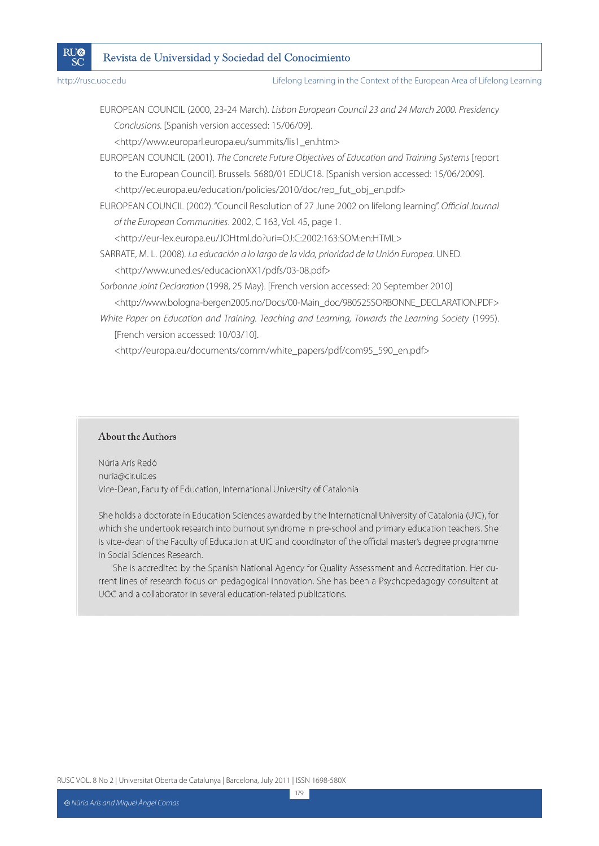

#### Revista de Universidad y Sociedad del Conocimiento

http://rusc.uoc.edu Lifelong Learning in the Context of the European Area of Lifelong Learning

EUROPEAN COUNCIL (2000, 23-24 March). Lisbon European Council 23 and 24 March 2000. Presidency Conclusions. [Spanish version accessed: 15/06/09].

<http://www.europarl.europa.eu/summits/lis1\_en.htm>

EUROPEAN COUNCIL (2001). The Concrete Future Objectives of Education and Training Systems [report to the European Council]. Brussels. 5680/01 EDUC18. [Spanish version accessed: 15/06/2009]. <http://ec.europa.eu/education/policies/2010/doc/rep\_fut\_obj\_en.pdf>

EUROPEAN COUNCIL (2002). "Council Resolution of 27 June 2002 on lifelong learning". Official Journal of the European Communities. 2002, C 163, Vol. 45, page 1.

<http://eur-lex.europa.eu/JOHtml.do?uri=OJ:C:2002:163:SOM:en:HTML>

SARRATE, M. L. (2008). La educación a lo largo de la vida, prioridad de la Unión Europea. UNED. <http://www.uned.es/educacionXX1/pdfs/03-08.pdf>

Sorbonne Joint Declaration (1998, 25 May). [French version accessed: 20 September 2010] <http://www.bologna-bergen2005.no/Docs/00-Main\_doc/980525SORBONNE\_DECLARATION.PDF>

White Paper on Education and Training. Teaching and Learning, Towards the Learning Society (1995). [French version accessed: 10/03/10].

<http://europa.eu/documents/comm/white\_papers/pdf/com95\_590\_en.pdf>

#### About the Authors

Núria Arís Redó nuria@cir.uic.es Vice-Dean, Faculty of Education, International University of Catalonia

She holds a doctorate in Education Sciences awarded by the International University of Catalonia (UIC), for which she undertook research into burnout syndrome in pre-school and primary education teachers. She is vice-dean of the Faculty of Education at UIC and coordinator of the official master's degree programme in Social Sciences Research.

She is accredited by the Spanish National Agency for Quality Assessment and Accreditation. Her current lines of research focus on pedagogical innovation. She has been a Psychopedagogy consultant at UOC and a collaborator in several education-related publications.